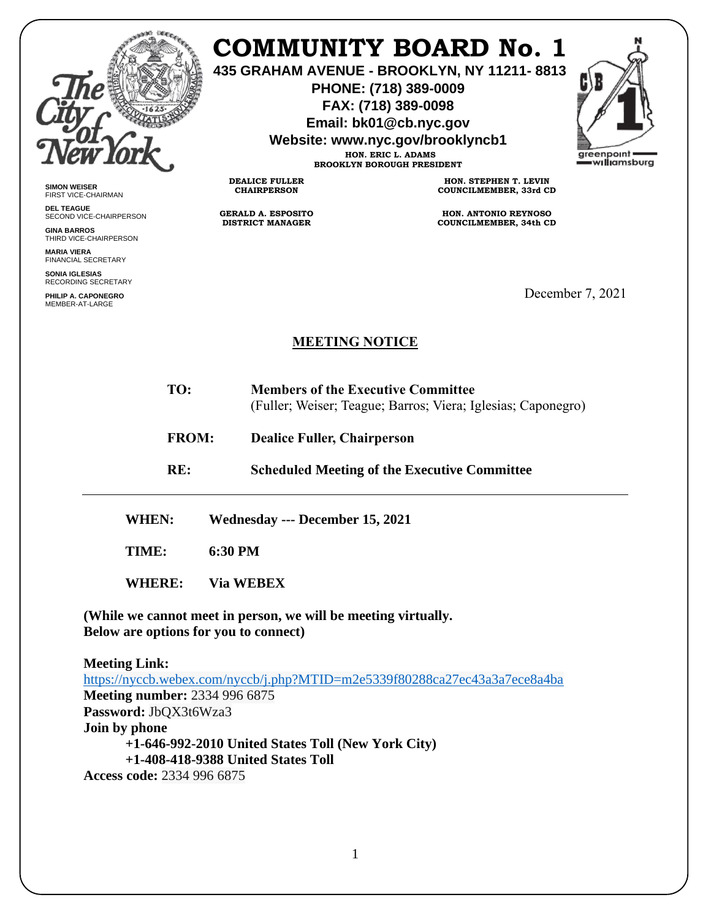

**SIMON WEISER** FIRST VICE-CHAIRMAN **DEL TEAGUE**

**GINA BARROS** THIRD VICE-CHAIRPERSON

**MARIA VIERA** FINANCIAL SECRETARY **SONIA IGLESIAS** RECORDING SECRETARY **PHILIP A. CAPONEGRO** MEMBER-AT-LARGE

SECOND VICE-CHAIRPERSON

## **COMMUNITY BOARD No. 1**

**435 GRAHAM AVENUE - BROOKLYN, NY 11211- 8813**

**PHONE: (718) 389-0009 FAX: (718) 389-0098**

**Email: bk01@cb.nyc.gov**

**Website: www.nyc.gov/brooklyncb1**

**HON. ERIC L. ADAMS BROOKLYN BOROUGH PRESIDENT** areenpoint williamsburg

**DEALICE FULLER CHAIRPERSON**

**GERALD A. ESPOSITO DISTRICT MANAGER**

**HON. STEPHEN T. LEVIN COUNCILMEMBER, 33rd CD**

**HON. ANTONIO REYNOSO COUNCILMEMBER, 34th CD**

December 7, 2021

## **MEETING NOTICE**

- **TO: Members of the Executive Committee** (Fuller; Weiser; Teague; Barros; Viera; Iglesias; Caponegro)
- **FROM: Dealice Fuller, Chairperson**

**RE: Scheduled Meeting of the Executive Committee**

**WHEN: Wednesday --- December 15, 2021**

**TIME: 6:30 PM**

**WHERE: Via WEBEX**

**(While we cannot meet in person, we will be meeting virtually. Below are options for you to connect)**

**Meeting Link:**  <https://nyccb.webex.com/nyccb/j.php?MTID=m2e5339f80288ca27ec43a3a7ece8a4ba> **Meeting number:** 2334 996 6875 **Password:** JbQX3t6Wza3 **Join by phone +1-646-992-2010 United States Toll (New York City) +1-408-418-9388 United States Toll Access code:** 2334 996 6875